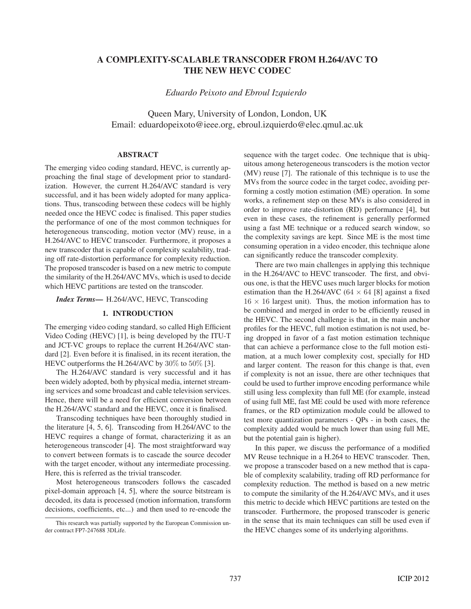# **A COMPLEXITY-SCALABLE TRANSCODER FROM H.264/AVC TO THE NEW HEVC CODEC**

*Eduardo Peixoto and Ebroul Izquierdo*

Queen Mary, University of London, London, UK Email: eduardopeixoto@ieee.org, ebroul.izquierdo@elec.qmul.ac.uk

## **ABSTRACT**

The emerging video coding standard, HEVC, is currently approaching the final stage of development prior to standardization. However, the current H.264/AVC standard is very successful, and it has been widely adopted for many applications. Thus, transcoding between these codecs will be highly needed once the HEVC codec is finalised. This paper studies the performance of one of the most common techniques for heterogeneous transcoding, motion vector (MV) reuse, in a H.264/AVC to HEVC transcoder. Furthermore, it proposes a new transcoder that is capable of complexity scalability, trading off rate-distortion performance for complexity reduction. The proposed transcoder is based on a new metric to compute the similarity of the H.264/AVC MVs, which is used to decide which HEVC partitions are tested on the transcoder.

*Index Terms***—** H.264/AVC, HEVC, Transcoding

# **1. INTRODUCTION**

The emerging video coding standard, so called High Efficient Video Coding (HEVC) [1], is being developed by the ITU-T and JCT-VC groups to replace the current H.264/AVC standard [2]. Even before it is finalised, in its recent iteration, the HEVC outperforms the H.264/AVC by 30% to 50% [3].

The H.264/AVC standard is very successful and it has been widely adopted, both by physical media, internet streaming services and some broadcast and cable television services. Hence, there will be a need for efficient conversion between the H.264/AVC standard and the HEVC, once it is finalised.

Transcoding techniques have been thoroughly studied in the literature [4, 5, 6]. Transcoding from H.264/AVC to the HEVC requires a change of format, characterizing it as an heterogeneous transcoder [4]. The most straightforward way to convert between formats is to cascade the source decoder with the target encoder, without any intermediate processing. Here, this is referred as the trivial transcoder.

Most heterogeneous transcoders follows the cascaded pixel-domain approach [4, 5], where the source bitstream is decoded, its data is processed (motion information, transform decisions, coefficients, etc...) and then used to re-encode the

sequence with the target codec. One technique that is ubiquitous among heterogeneous transcoders is the motion vector (MV) reuse [7]. The rationale of this technique is to use the MVs from the source codec in the target codec, avoiding performing a costly motion estimation (ME) operation. In some works, a refinement step on these MVs is also considered in order to improve rate-distortion (RD) performance [4], but even in these cases, the refinement is generally performed using a fast ME technique or a reduced search window, so the complexity savings are kept. Since ME is the most time consuming operation in a video encoder, this technique alone can significantly reduce the transcoder complexity.

There are two main challenges in applying this technique in the H.264/AVC to HEVC transcoder. The first, and obvious one, is that the HEVC uses much larger blocks for motion estimation than the H.264/AVC ( $64 \times 64$  [8] against a fixed  $16 \times 16$  largest unit). Thus, the motion information has to be combined and merged in order to be efficiently reused in the HEVC. The second challenge is that, in the main anchor profiles for the HEVC, full motion estimation is not used, being dropped in favor of a fast motion estimation technique that can achieve a performance close to the full motion estimation, at a much lower complexity cost, specially for HD and larger content. The reason for this change is that, even if complexity is not an issue, there are other techniques that could be used to further improve encoding performance while still using less complexity than full ME (for example, instead of using full ME, fast ME could be used with more reference frames, or the RD optimization module could be allowed to test more quantization parameters - QPs - in both cases, the complexity added would be much lower than using full ME, but the potential gain is higher).

In this paper, we discuss the performance of a modified MV Reuse technique in a H.264 to HEVC transcoder. Then, we propose a transcoder based on a new method that is capable of complexity scalability, trading off RD performance for complexity reduction. The method is based on a new metric to compute the similarity of the H.264/AVC MVs, and it uses this metric to decide which HEVC partitions are tested on the transcoder. Furthermore, the proposed transcoder is generic in the sense that its main techniques can still be used even if the HEVC changes some of its underlying algorithms.

This research was partially supported by the European Commission under contract FP7-247688 3DLife.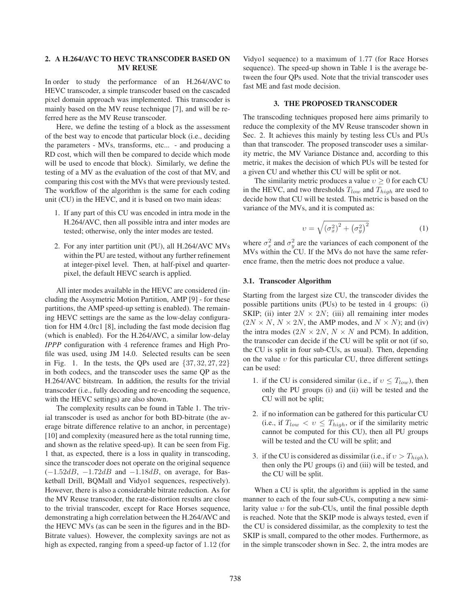## **2. A H.264/AVC TO HEVC TRANSCODER BASED ON MV REUSE**

In order to study the performance of an H.264/AVC to HEVC transcoder, a simple transcoder based on the cascaded pixel domain approach was implemented. This transcoder is mainly based on the MV reuse technique [7], and will be referred here as the MV Reuse transcoder.

Here, we define the testing of a block as the assessment of the best way to encode that particular block (i.e., deciding the parameters - MVs, transforms, etc... - and producing a RD cost, which will then be compared to decide which mode will be used to encode that block). Similarly, we define the testing of a MV as the evaluation of the cost of that MV, and comparing this cost with the MVs that were previously tested. The workflow of the algorithm is the same for each coding unit (CU) in the HEVC, and it is based on two main ideas:

- 1. If any part of this CU was encoded in intra mode in the H.264/AVC, then all possible intra and inter modes are tested; otherwise, only the inter modes are tested.
- 2. For any inter partition unit (PU), all H.264/AVC MVs within the PU are tested, without any further refinement at integer-pixel level. Then, at half-pixel and quarterpixel, the default HEVC search is applied.

All inter modes available in the HEVC are considered (including the Assymetric Motion Partition, AMP [9] - for these partitions, the AMP speed-up setting is enabled). The remaining HEVC settings are the same as the low-delay configuration for HM 4.0rc1 [8], including the fast mode decision flag (which is enabled). For the H.264/AVC, a similar low-delay *IPPP* configuration with 4 reference frames and High Profile was used, using JM 14.0. Selected results can be seen in Fig. 1. In the tests, the QPs used are  $\{37, 32, 27, 22\}$ in both codecs, and the transcoder uses the same QP as the H.264/AVC bitstream. In addition, the results for the trivial transcoder (i.e., fully decoding and re-encoding the sequence, with the HEVC settings) are also shown.

The complexity results can be found in Table 1. The trivial transcoder is used as anchor for both BD-bitrate (the average bitrate difference relative to an anchor, in percentage) [10] and complexity (measured here as the total running time, and shown as the relative speed-up). It can be seen from Fig. 1 that, as expected, there is a loss in quality in transcoding, since the transcoder does not operate on the original sequence  $(-1.52dB, -1.72dB$  and  $-1.18dB$ , on average, for Basketball Drill, BQMall and Vidyo1 sequences, respectively). However, there is also a considerable bitrate reduction. As for the MV Reuse transcoder, the rate-distortion results are close to the trivial transcoder, except for Race Horses sequence, demonstrating a high correlation between the H.264/AVC and the HEVC MVs (as can be seen in the figures and in the BD-Bitrate values). However, the complexity savings are not as high as expected, ranging from a speed-up factor of 1.12 (for

Vidyo1 sequence) to a maximum of 1.77 (for Race Horses sequence). The speed-up shown in Table 1 is the average between the four QPs used. Note that the trivial transcoder uses fast ME and fast mode decision.

#### **3. THE PROPOSED TRANSCODER**

The transcoding techniques proposed here aims primarily to reduce the complexity of the MV Reuse transcoder shown in Sec. 2. It achieves this mainly by testing less CUs and PUs than that transcoder. The proposed transcoder uses a similarity metric, the MV Variance Distance and, according to this metric, it makes the decision of which PUs will be tested for a given CU and whether this CU will be split or not.

The similarity metric produces a value  $v \geq 0$  for each CU in the HEVC, and two thresholds  $T_{low}$  and  $T_{high}$  are used to decide how that CU will be tested. This metric is based on the variance of the MVs, and it is computed as:

$$
v = \sqrt{\left(\sigma_x^2\right)^2 + \left(\sigma_y^2\right)^2} \tag{1}
$$

where  $\sigma_x^2$  and  $\sigma_y^2$  are the variances of each component of the MVs within the CU. If the MVs do not have the same refer-MVs within the CU. If the MVs do not have the same reference frame, then the metric does not produce a value.

#### **3.1. Transcoder Algorithm**

Starting from the largest size CU, the transcoder divides the possible partitions units (PUs) to be tested in 4 groups: (i) SKIP; (ii) inter  $2N \times 2N$ ; (iii) all remaining inter modes  $(2N \times N, N \times 2N$ , the AMP modes, and  $N \times N$ ); and (iv) the intra modes ( $2N \times 2N$ ,  $N \times N$  and PCM). In addition, the transcoder can decide if the CU will be split or not (if so, the CU is split in four sub-CUs, as usual). Then, depending on the value  $v$  for this particular CU, three different settings can be used:

- 1. if the CU is considered similar (i.e., if  $v \leq T_{low}$ ), then only the PU groups (i) and (ii) will be tested and the CU will not be split;
- 2. if no information can be gathered for this particular CU (i.e., if  $T_{low} < v \leq T_{high}$ , or if the similarity metric cannot be computed for this CU), then all PU groups will be tested and the CU will be split; and
- 3. if the CU is considered as dissimilar (i.e., if  $v > T_{high}$ ), then only the PU groups (i) and (iii) will be tested, and the CU will be split.

When a CU is split, the algorithm is applied in the same manner to each of the four sub-CUs, computing a new similarity value  $v$  for the sub-CUs, until the final possible depth is reached. Note that the SKIP mode is always tested, even if the CU is considered dissimilar, as the complexity to test the SKIP is small, compared to the other modes. Furthermore, as in the simple transcoder shown in Sec. 2, the intra modes are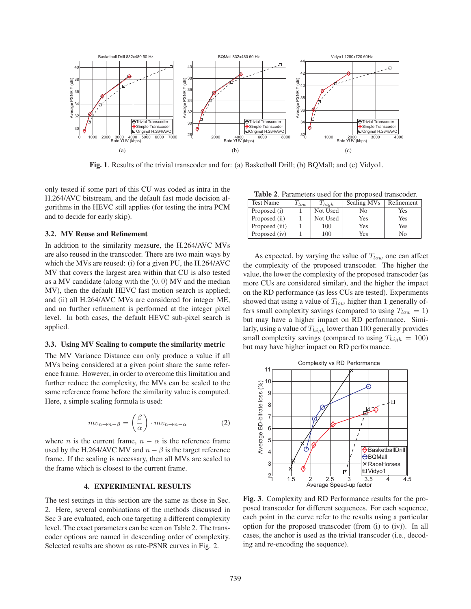

**Fig. 1**. Results of the trivial transcoder and for: (a) Basketball Drill; (b) BQMall; and (c) Vidyo1.

only tested if some part of this CU was coded as intra in the H.264/AVC bitstream, and the default fast mode decision algorithms in the HEVC still applies (for testing the intra PCM and to decide for early skip).

#### **3.2. MV Reuse and Refinement**

In addition to the similarity measure, the H.264/AVC MVs are also reused in the transcoder. There are two main ways by which the MVs are reused: (i) for a given PU, the H.264/AVC MV that covers the largest area within that CU is also tested as a MV candidate (along with the  $(0, 0)$  MV and the median MV), then the default HEVC fast motion search is applied; and (ii) all H.264/AVC MVs are considered for integer ME, and no further refinement is performed at the integer pixel level. In both cases, the default HEVC sub-pixel search is applied.

#### **3.3. Using MV Scaling to compute the similarity metric**

The MV Variance Distance can only produce a value if all MVs being considered at a given point share the same reference frame. However, in order to overcome this limitation and further reduce the complexity, the MVs can be scaled to the same reference frame before the similarity value is computed. Here, a simple scaling formula is used:

$$
mv_{n \to n-\beta} = \left(\frac{\beta}{\alpha}\right) \cdot mv_{n \to n-\alpha} \tag{2}
$$

where *n* is the current frame,  $n - \alpha$  is the reference frame used by the H.264/AVC MV and  $n - \beta$  is the target reference frame. If the scaling is necessary, then all MVs are scaled to the frame which is closest to the current frame.

#### **4. EXPERIMENTAL RESULTS**

The test settings in this section are the same as those in Sec. 2. Here, several combinations of the methods discussed in Sec 3 are evaluated, each one targeting a different complexity level. The exact parameters can be seen on Table 2. The transcoder options are named in descending order of complexity. Selected results are shown as rate-PSNR curves in Fig. 2.

**Table 2**. Parameters used for the proposed transcoder.

| <b>Test Name</b><br>$T_{low}$ |  | $T_{high}$ | Scaling MVs | Refinement |  |
|-------------------------------|--|------------|-------------|------------|--|
| Proposed (i)                  |  | Not Used   | Nο          | Yes        |  |
| Proposed (ii)                 |  | Not Used   | Yes         | Yes        |  |
| Proposed (iii)                |  | 100        | Yes         | Yes        |  |
| Proposed (iv)                 |  | 100        | Yes         | No         |  |

As expected, by varying the value of  $T_{low}$  one can affect the complexity of the proposed transcoder. The higher the value, the lower the complexity of the proposed transcoder (as more CUs are considered similar), and the higher the impact on the RD performance (as less CUs are tested). Experiments showed that using a value of  $T_{low}$  higher than 1 generally offers small complexity savings (compared to using  $T_{low} = 1$ ) but may have a higher impact on RD performance. Similarly, using a value of  $T_{high}$  lower than 100 generally provides small complexity savings (compared to using  $T_{high} = 100$ ) but may have higher impact on RD performance.



**Fig. 3**. Complexity and RD Performance results for the proposed transcoder for different sequences. For each sequence, each point in the curve refer to the results using a particular option for the proposed transcoder (from (i) to (iv)). In all cases, the anchor is used as the trivial transcoder (i.e., decoding and re-encoding the sequence).